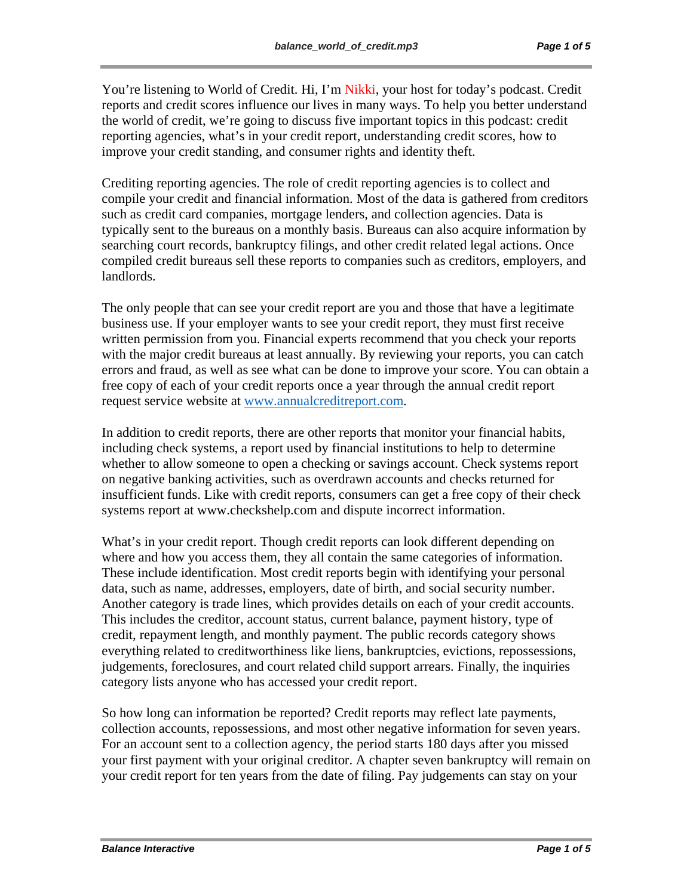You're listening to World of Credit. Hi, I'm Nikki, your host for today's podcast. Credit reports and credit scores influence our lives in many ways. To help you better understand the world of credit, we're going to discuss five important topics in this podcast: credit reporting agencies, what's in your credit report, understanding credit scores, how to improve your credit standing, and consumer rights and identity theft.

Crediting reporting agencies. The role of credit reporting agencies is to collect and compile your credit and financial information. Most of the data is gathered from creditors such as credit card companies, mortgage lenders, and collection agencies. Data is typically sent to the bureaus on a monthly basis. Bureaus can also acquire information by searching court records, bankruptcy filings, and other credit related legal actions. Once compiled credit bureaus sell these reports to companies such as creditors, employers, and landlords.

The only people that can see your credit report are you and those that have a legitimate business use. If your employer wants to see your credit report, they must first receive written permission from you. Financial experts recommend that you check your reports with the major credit bureaus at least annually. By reviewing your reports, you can catch errors and fraud, as well as see what can be done to improve your score. You can obtain a free copy of each of your credit reports once a year through the annual credit report request service website at www.annualcreditreport.com.

In addition to credit reports, there are other reports that monitor your financial habits, including check systems, a report used by financial institutions to help to determine whether to allow someone to open a checking or savings account. Check systems report on negative banking activities, such as overdrawn accounts and checks returned for insufficient funds. Like with credit reports, consumers can get a free copy of their check systems report at www.checkshelp.com and dispute incorrect information.

What's in your credit report. Though credit reports can look different depending on where and how you access them, they all contain the same categories of information. These include identification. Most credit reports begin with identifying your personal data, such as name, addresses, employers, date of birth, and social security number. Another category is trade lines, which provides details on each of your credit accounts. This includes the creditor, account status, current balance, payment history, type of credit, repayment length, and monthly payment. The public records category shows everything related to creditworthiness like liens, bankruptcies, evictions, repossessions, judgements, foreclosures, and court related child support arrears. Finally, the inquiries category lists anyone who has accessed your credit report.

So how long can information be reported? Credit reports may reflect late payments, collection accounts, repossessions, and most other negative information for seven years. For an account sent to a collection agency, the period starts 180 days after you missed your first payment with your original creditor. A chapter seven bankruptcy will remain on your credit report for ten years from the date of filing. Pay judgements can stay on your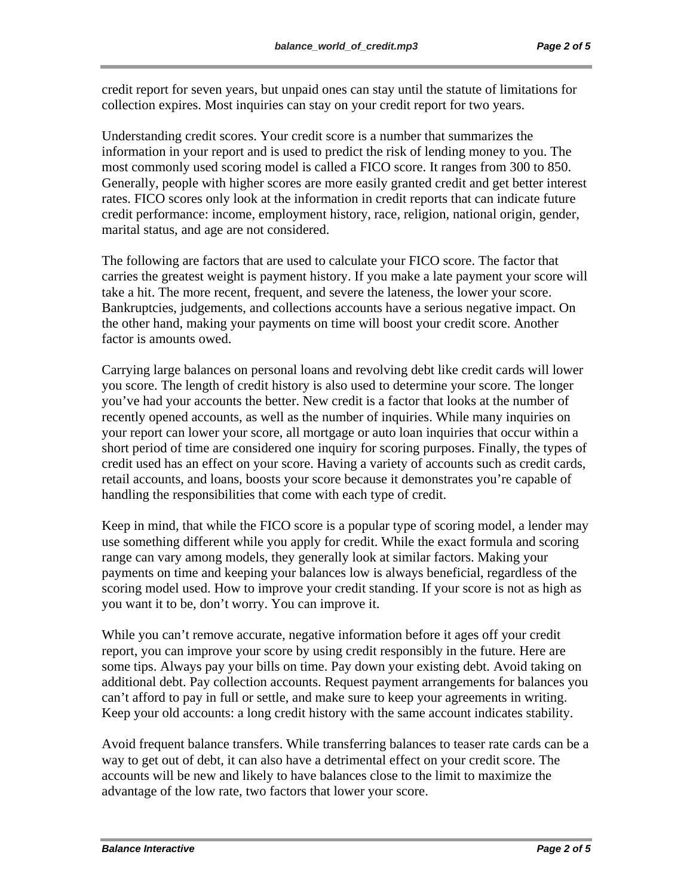credit report for seven years, but unpaid ones can stay until the statute of limitations for collection expires. Most inquiries can stay on your credit report for two years.

Understanding credit scores. Your credit score is a number that summarizes the information in your report and is used to predict the risk of lending money to you. The most commonly used scoring model is called a FICO score. It ranges from 300 to 850. Generally, people with higher scores are more easily granted credit and get better interest rates. FICO scores only look at the information in credit reports that can indicate future credit performance: income, employment history, race, religion, national origin, gender, marital status, and age are not considered.

The following are factors that are used to calculate your FICO score. The factor that carries the greatest weight is payment history. If you make a late payment your score will take a hit. The more recent, frequent, and severe the lateness, the lower your score. Bankruptcies, judgements, and collections accounts have a serious negative impact. On the other hand, making your payments on time will boost your credit score. Another factor is amounts owed.

Carrying large balances on personal loans and revolving debt like credit cards will lower you score. The length of credit history is also used to determine your score. The longer you've had your accounts the better. New credit is a factor that looks at the number of recently opened accounts, as well as the number of inquiries. While many inquiries on your report can lower your score, all mortgage or auto loan inquiries that occur within a short period of time are considered one inquiry for scoring purposes. Finally, the types of credit used has an effect on your score. Having a variety of accounts such as credit cards, retail accounts, and loans, boosts your score because it demonstrates you're capable of handling the responsibilities that come with each type of credit.

Keep in mind, that while the FICO score is a popular type of scoring model, a lender may use something different while you apply for credit. While the exact formula and scoring range can vary among models, they generally look at similar factors. Making your payments on time and keeping your balances low is always beneficial, regardless of the scoring model used. How to improve your credit standing. If your score is not as high as you want it to be, don't worry. You can improve it.

While you can't remove accurate, negative information before it ages off your credit report, you can improve your score by using credit responsibly in the future. Here are some tips. Always pay your bills on time. Pay down your existing debt. Avoid taking on additional debt. Pay collection accounts. Request payment arrangements for balances you can't afford to pay in full or settle, and make sure to keep your agreements in writing. Keep your old accounts: a long credit history with the same account indicates stability.

Avoid frequent balance transfers. While transferring balances to teaser rate cards can be a way to get out of debt, it can also have a detrimental effect on your credit score. The accounts will be new and likely to have balances close to the limit to maximize the advantage of the low rate, two factors that lower your score.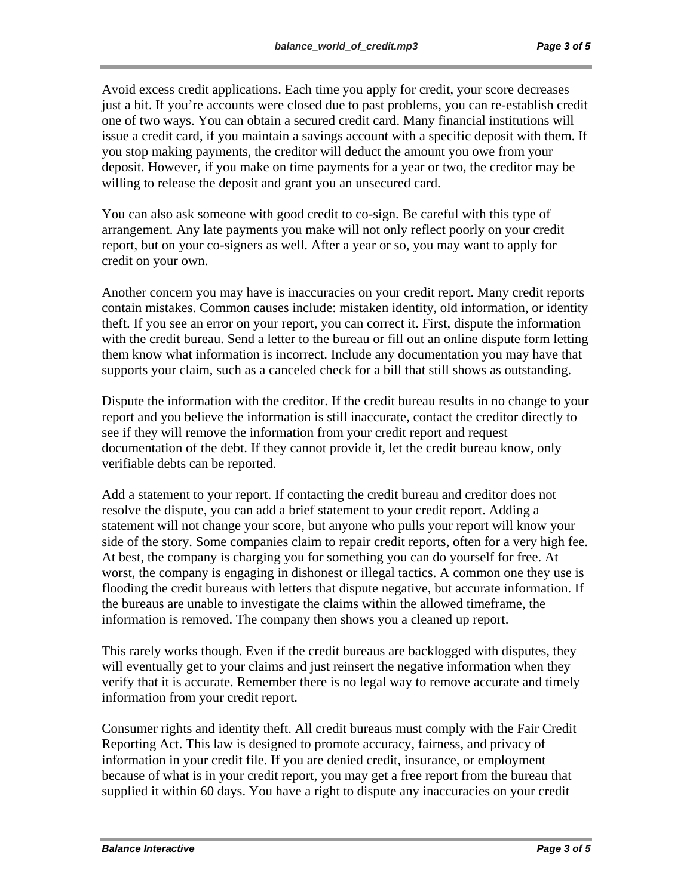Avoid excess credit applications. Each time you apply for credit, your score decreases just a bit. If you're accounts were closed due to past problems, you can re-establish credit one of two ways. You can obtain a secured credit card. Many financial institutions will issue a credit card, if you maintain a savings account with a specific deposit with them. If you stop making payments, the creditor will deduct the amount you owe from your deposit. However, if you make on time payments for a year or two, the creditor may be willing to release the deposit and grant you an unsecured card.

You can also ask someone with good credit to co-sign. Be careful with this type of arrangement. Any late payments you make will not only reflect poorly on your credit report, but on your co-signers as well. After a year or so, you may want to apply for credit on your own.

Another concern you may have is inaccuracies on your credit report. Many credit reports contain mistakes. Common causes include: mistaken identity, old information, or identity theft. If you see an error on your report, you can correct it. First, dispute the information with the credit bureau. Send a letter to the bureau or fill out an online dispute form letting them know what information is incorrect. Include any documentation you may have that supports your claim, such as a canceled check for a bill that still shows as outstanding.

Dispute the information with the creditor. If the credit bureau results in no change to your report and you believe the information is still inaccurate, contact the creditor directly to see if they will remove the information from your credit report and request documentation of the debt. If they cannot provide it, let the credit bureau know, only verifiable debts can be reported.

Add a statement to your report. If contacting the credit bureau and creditor does not resolve the dispute, you can add a brief statement to your credit report. Adding a statement will not change your score, but anyone who pulls your report will know your side of the story. Some companies claim to repair credit reports, often for a very high fee. At best, the company is charging you for something you can do yourself for free. At worst, the company is engaging in dishonest or illegal tactics. A common one they use is flooding the credit bureaus with letters that dispute negative, but accurate information. If the bureaus are unable to investigate the claims within the allowed timeframe, the information is removed. The company then shows you a cleaned up report.

This rarely works though. Even if the credit bureaus are backlogged with disputes, they will eventually get to your claims and just reinsert the negative information when they verify that it is accurate. Remember there is no legal way to remove accurate and timely information from your credit report.

Consumer rights and identity theft. All credit bureaus must comply with the Fair Credit Reporting Act. This law is designed to promote accuracy, fairness, and privacy of information in your credit file. If you are denied credit, insurance, or employment because of what is in your credit report, you may get a free report from the bureau that supplied it within 60 days. You have a right to dispute any inaccuracies on your credit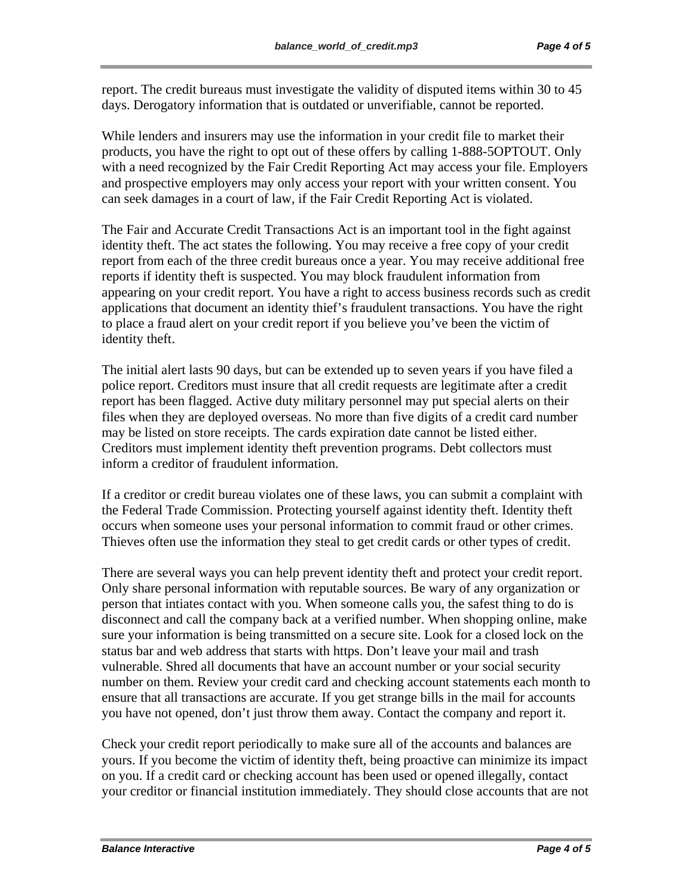report. The credit bureaus must investigate the validity of disputed items within 30 to 45 days. Derogatory information that is outdated or unverifiable, cannot be reported.

While lenders and insurers may use the information in your credit file to market their products, you have the right to opt out of these offers by calling 1-888-5OPTOUT. Only with a need recognized by the Fair Credit Reporting Act may access your file. Employers and prospective employers may only access your report with your written consent. You can seek damages in a court of law, if the Fair Credit Reporting Act is violated.

The Fair and Accurate Credit Transactions Act is an important tool in the fight against identity theft. The act states the following. You may receive a free copy of your credit report from each of the three credit bureaus once a year. You may receive additional free reports if identity theft is suspected. You may block fraudulent information from appearing on your credit report. You have a right to access business records such as credit applications that document an identity thief's fraudulent transactions. You have the right to place a fraud alert on your credit report if you believe you've been the victim of identity theft.

The initial alert lasts 90 days, but can be extended up to seven years if you have filed a police report. Creditors must insure that all credit requests are legitimate after a credit report has been flagged. Active duty military personnel may put special alerts on their files when they are deployed overseas. No more than five digits of a credit card number may be listed on store receipts. The cards expiration date cannot be listed either. Creditors must implement identity theft prevention programs. Debt collectors must inform a creditor of fraudulent information.

If a creditor or credit bureau violates one of these laws, you can submit a complaint with the Federal Trade Commission. Protecting yourself against identity theft. Identity theft occurs when someone uses your personal information to commit fraud or other crimes. Thieves often use the information they steal to get credit cards or other types of credit.

There are several ways you can help prevent identity theft and protect your credit report. Only share personal information with reputable sources. Be wary of any organization or person that intiates contact with you. When someone calls you, the safest thing to do is disconnect and call the company back at a verified number. When shopping online, make sure your information is being transmitted on a secure site. Look for a closed lock on the status bar and web address that starts with https. Don't leave your mail and trash vulnerable. Shred all documents that have an account number or your social security number on them. Review your credit card and checking account statements each month to ensure that all transactions are accurate. If you get strange bills in the mail for accounts you have not opened, don't just throw them away. Contact the company and report it.

Check your credit report periodically to make sure all of the accounts and balances are yours. If you become the victim of identity theft, being proactive can minimize its impact on you. If a credit card or checking account has been used or opened illegally, contact your creditor or financial institution immediately. They should close accounts that are not